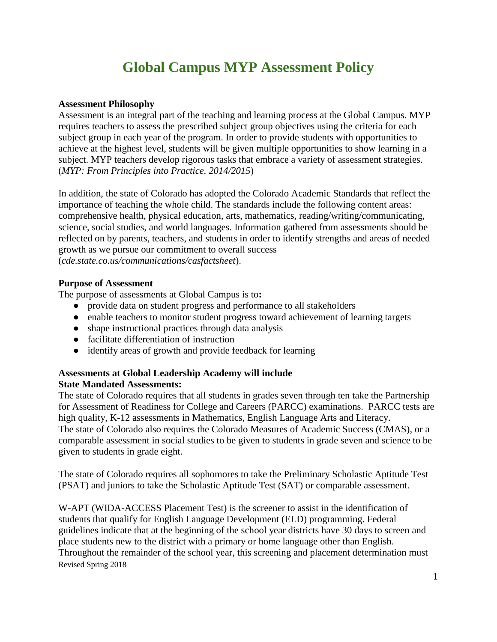# **Global Campus MYP Assessment Policy**

## **Assessment Philosophy**

Assessment is an integral part of the teaching and learning process at the Global Campus. MYP requires teachers to assess the prescribed subject group objectives using the criteria for each subject group in each year of the program. In order to provide students with opportunities to achieve at the highest level, students will be given multiple opportunities to show learning in a subject. MYP teachers develop rigorous tasks that embrace a variety of assessment strategies. (*MYP: From Principles into Practice. 2014/2015*)

In addition, the state of Colorado has adopted the Colorado Academic Standards that reflect the importance of teaching the whole child. The standards include the following content areas: comprehensive health, physical education, arts, mathematics, reading/writing/communicating, science, social studies, and world languages. Information gathered from assessments should be reflected on by parents, teachers, and students in order to identify strengths and areas of needed growth as we pursue our commitment to overall success (*cde.state.co.us/communications/casfactsheet*).

## **Purpose of Assessment**

The purpose of assessments at Global Campus is to**:** 

- provide data on student progress and performance to all stakeholders
- enable teachers to monitor student progress toward achievement of learning targets
- shape instructional practices through data analysis
- facilitate differentiation of instruction
- identify areas of growth and provide feedback for learning

## **Assessments at Global Leadership Academy will include State Mandated Assessments:**

The state of Colorado requires that all students in grades seven through ten take the Partnership for Assessment of Readiness for College and Careers (PARCC) examinations. PARCC tests are high quality, K-12 assessments in Mathematics, English Language Arts and Literacy. The state of Colorado also requires the Colorado Measures of Academic Success (CMAS), or a comparable assessment in social studies to be given to students in grade seven and science to be given to students in grade eight.

The state of Colorado requires all sophomores to take the Preliminary Scholastic Aptitude Test (PSAT) and juniors to take the Scholastic Aptitude Test (SAT) or comparable assessment.

Revised Spring 2018 W-APT (WIDA-ACCESS Placement Test) is the screener to assist in the identification of students that qualify for English Language Development (ELD) programming. Federal guidelines indicate that at the beginning of the school year districts have 30 days to screen and place students new to the district with a primary or home language other than English. Throughout the remainder of the school year, this screening and placement determination must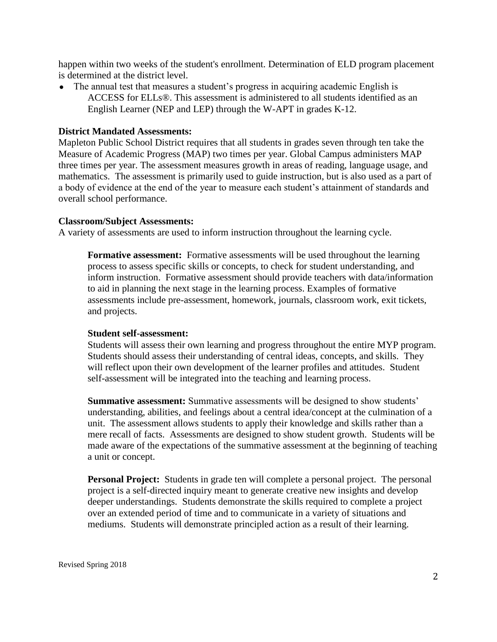happen within two weeks of the student's enrollment. Determination of ELD program placement is determined at the district level.

• The annual test that measures a student's progress in acquiring academic English is ACCESS for ELLs®. This assessment is administered to all students identified as an English Learner (NEP and LEP) through the W-APT in grades K-12.

#### **District Mandated Assessments:**

Mapleton Public School District requires that all students in grades seven through ten take the Measure of Academic Progress (MAP) two times per year. Global Campus administers MAP three times per year. The assessment measures growth in areas of reading, language usage, and mathematics. The assessment is primarily used to guide instruction, but is also used as a part of a body of evidence at the end of the year to measure each student's attainment of standards and overall school performance.

#### **Classroom/Subject Assessments:**

A variety of assessments are used to inform instruction throughout the learning cycle.

**Formative assessment:** Formative assessments will be used throughout the learning process to assess specific skills or concepts, to check for student understanding, and inform instruction. Formative assessment should provide teachers with data/information to aid in planning the next stage in the learning process. Examples of formative assessments include pre-assessment, homework, journals, classroom work, exit tickets, and projects.

#### **Student self-assessment:**

Students will assess their own learning and progress throughout the entire MYP program. Students should assess their understanding of central ideas, concepts, and skills. They will reflect upon their own development of the learner profiles and attitudes. Student self-assessment will be integrated into the teaching and learning process.

**Summative assessment:** Summative assessments will be designed to show students' understanding, abilities, and feelings about a central idea/concept at the culmination of a unit. The assessment allows students to apply their knowledge and skills rather than a mere recall of facts. Assessments are designed to show student growth. Students will be made aware of the expectations of the summative assessment at the beginning of teaching a unit or concept.

**Personal Project:** Students in grade ten will complete a personal project. The personal project is a self-directed inquiry meant to generate creative new insights and develop deeper understandings. Students demonstrate the skills required to complete a project over an extended period of time and to communicate in a variety of situations and mediums. Students will demonstrate principled action as a result of their learning.